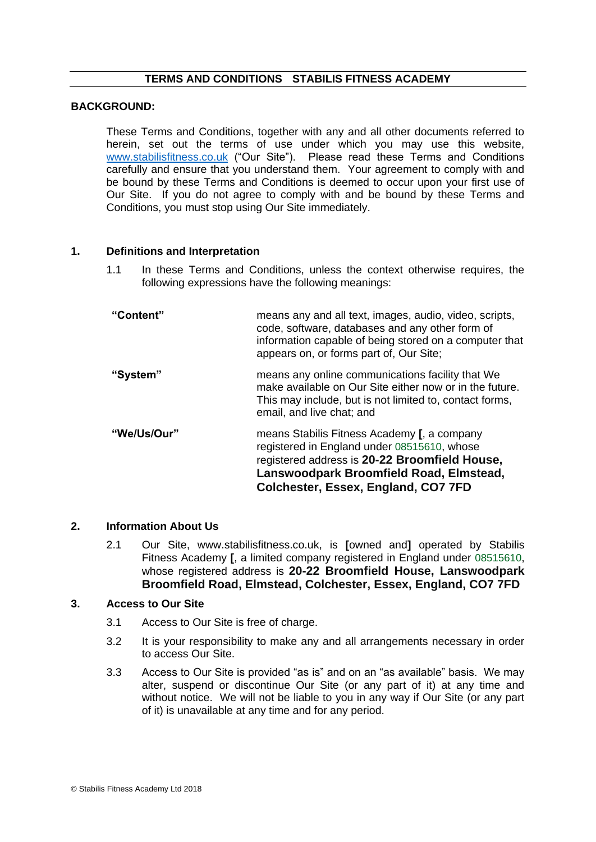# **TERMS AND CONDITIONS STABILIS FITNESS ACADEMY**

#### **BACKGROUND:**

These Terms and Conditions, together with any and all other documents referred to herein, set out the terms of use under which you may use this website, [www.stabilisfitness.co.uk](http://www.stabilisfitness.co.uk/) ("Our Site"). Please read these Terms and Conditions carefully and ensure that you understand them. Your agreement to comply with and be bound by these Terms and Conditions is deemed to occur upon your first use of Our Site. If you do not agree to comply with and be bound by these Terms and Conditions, you must stop using Our Site immediately.

#### **1. Definitions and Interpretation**

- 1.1 In these Terms and Conditions, unless the context otherwise requires, the following expressions have the following meanings:
- **"Content"** means any and all text, images, audio, video, scripts, code, software, databases and any other form of information capable of being stored on a computer that appears on, or forms part of, Our Site; **"System"** means any online communications facility that We make available on Our Site either now or in the future. This may include, but is not limited to, contact forms, email, and live chat; and **"We/Us/Our"** means Stabilis Fitness Academy **[**, a company registered in England under 08515610, whose registered address is **20-22 Broomfield House, Lanswoodpark Broomfield Road, Elmstead, Colchester, Essex, England, CO7 7FD**

#### **2. Information About Us**

2.1 Our Site, www.stabilisfitness.co.uk, is **[**owned and**]** operated by Stabilis Fitness Academy **[**, a limited company registered in England under 08515610, whose registered address is **20-22 Broomfield House, Lanswoodpark Broomfield Road, Elmstead, Colchester, Essex, England, CO7 7FD**

#### **3. Access to Our Site**

- 3.1 Access to Our Site is free of charge.
- 3.2 It is your responsibility to make any and all arrangements necessary in order to access Our Site.
- 3.3 Access to Our Site is provided "as is" and on an "as available" basis. We may alter, suspend or discontinue Our Site (or any part of it) at any time and without notice. We will not be liable to you in any way if Our Site (or any part of it) is unavailable at any time and for any period.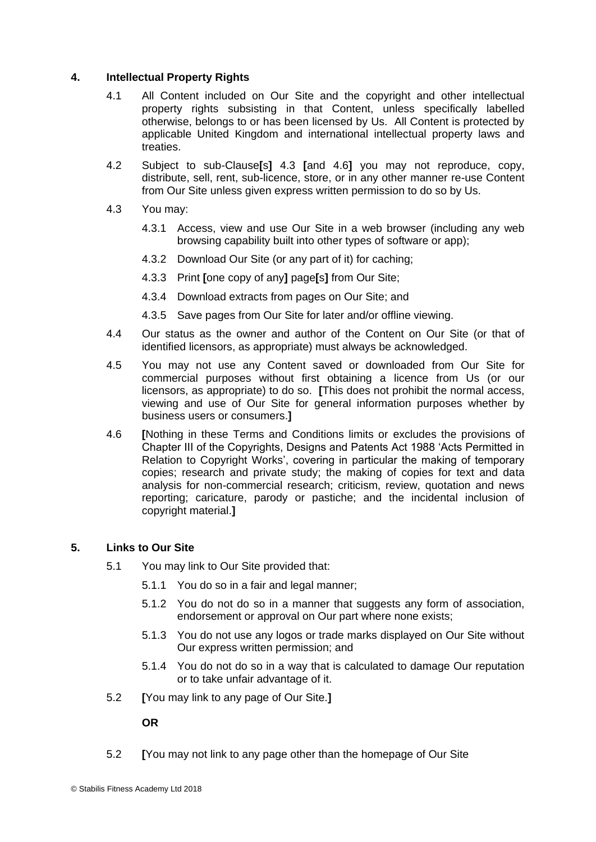#### **4. Intellectual Property Rights**

- 4.1 All Content included on Our Site and the copyright and other intellectual property rights subsisting in that Content, unless specifically labelled otherwise, belongs to or has been licensed by Us. All Content is protected by applicable United Kingdom and international intellectual property laws and treaties.
- 4.2 Subject to sub-Clause**[**s**]** 4.3 **[**and 4.6**]** you may not reproduce, copy, distribute, sell, rent, sub-licence, store, or in any other manner re-use Content from Our Site unless given express written permission to do so by Us.
- 4.3 You may:
	- 4.3.1 Access, view and use Our Site in a web browser (including any web browsing capability built into other types of software or app);
	- 4.3.2 Download Our Site (or any part of it) for caching;
	- 4.3.3 Print **[**one copy of any**]** page**[**s**]** from Our Site;
	- 4.3.4 Download extracts from pages on Our Site; and
	- 4.3.5 Save pages from Our Site for later and/or offline viewing.
- 4.4 Our status as the owner and author of the Content on Our Site (or that of identified licensors, as appropriate) must always be acknowledged.
- 4.5 You may not use any Content saved or downloaded from Our Site for commercial purposes without first obtaining a licence from Us (or our licensors, as appropriate) to do so. **[**This does not prohibit the normal access, viewing and use of Our Site for general information purposes whether by business users or consumers.**]**
- 4.6 **[**Nothing in these Terms and Conditions limits or excludes the provisions of Chapter III of the Copyrights, Designs and Patents Act 1988 'Acts Permitted in Relation to Copyright Works', covering in particular the making of temporary copies; research and private study; the making of copies for text and data analysis for non-commercial research; criticism, review, quotation and news reporting; caricature, parody or pastiche; and the incidental inclusion of copyright material.**]**

# **5. Links to Our Site**

- 5.1 You may link to Our Site provided that:
	- 5.1.1 You do so in a fair and legal manner;
	- 5.1.2 You do not do so in a manner that suggests any form of association, endorsement or approval on Our part where none exists;
	- 5.1.3 You do not use any logos or trade marks displayed on Our Site without Our express written permission; and
	- 5.1.4 You do not do so in a way that is calculated to damage Our reputation or to take unfair advantage of it.
- 5.2 **[**You may link to any page of Our Site.**]**

**OR**

5.2 **[**You may not link to any page other than the homepage of Our Site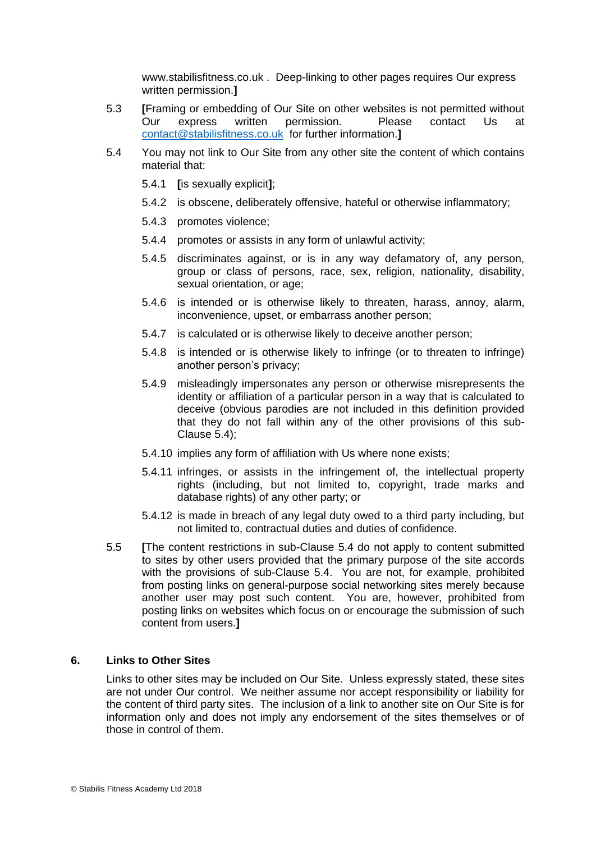www.stabilisfitness.co.uk . Deep-linking to other pages requires Our express written permission.**]**

- 5.3 **[**Framing or embedding of Our Site on other websites is not permitted without Our express written permission. Please contact Us at [contact@stabilisfitness.co.uk](mailto:contact@stabilisfitness.co.uk) for further information.**]**
- 5.4 You may not link to Our Site from any other site the content of which contains material that:
	- 5.4.1 **[**is sexually explicit**]**;
	- 5.4.2 is obscene, deliberately offensive, hateful or otherwise inflammatory;
	- 5.4.3 promotes violence;
	- 5.4.4 promotes or assists in any form of unlawful activity;
	- 5.4.5 discriminates against, or is in any way defamatory of, any person, group or class of persons, race, sex, religion, nationality, disability, sexual orientation, or age;
	- 5.4.6 is intended or is otherwise likely to threaten, harass, annoy, alarm, inconvenience, upset, or embarrass another person;
	- 5.4.7 is calculated or is otherwise likely to deceive another person;
	- 5.4.8 is intended or is otherwise likely to infringe (or to threaten to infringe) another person's privacy;
	- 5.4.9 misleadingly impersonates any person or otherwise misrepresents the identity or affiliation of a particular person in a way that is calculated to deceive (obvious parodies are not included in this definition provided that they do not fall within any of the other provisions of this sub-Clause 5.4);
	- 5.4.10 implies any form of affiliation with Us where none exists;
	- 5.4.11 infringes, or assists in the infringement of, the intellectual property rights (including, but not limited to, copyright, trade marks and database rights) of any other party; or
	- 5.4.12 is made in breach of any legal duty owed to a third party including, but not limited to, contractual duties and duties of confidence.
- 5.5 **[**The content restrictions in sub-Clause 5.4 do not apply to content submitted to sites by other users provided that the primary purpose of the site accords with the provisions of sub-Clause 5.4. You are not, for example, prohibited from posting links on general-purpose social networking sites merely because another user may post such content. You are, however, prohibited from posting links on websites which focus on or encourage the submission of such content from users.**]**

# **6. Links to Other Sites**

Links to other sites may be included on Our Site. Unless expressly stated, these sites are not under Our control. We neither assume nor accept responsibility or liability for the content of third party sites. The inclusion of a link to another site on Our Site is for information only and does not imply any endorsement of the sites themselves or of those in control of them.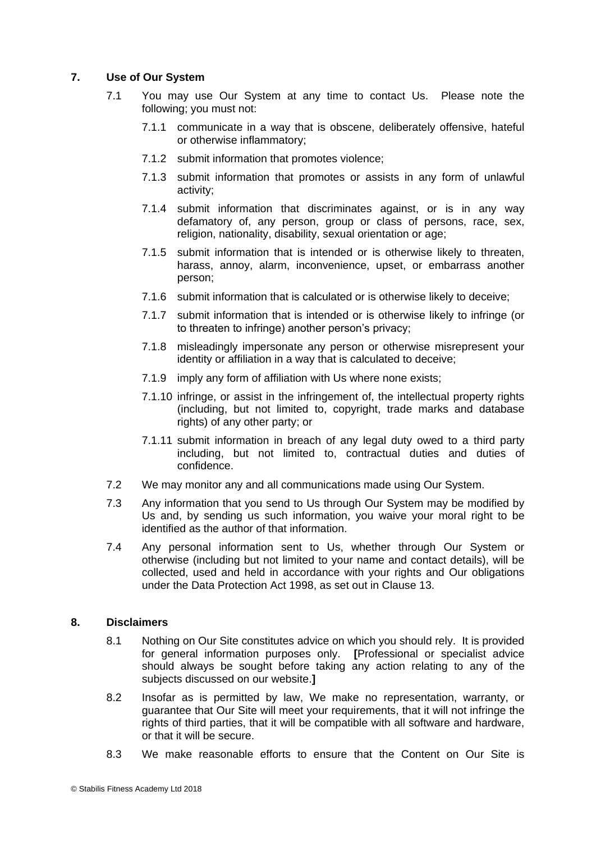# **7. Use of Our System**

- 7.1 You may use Our System at any time to contact Us. Please note the following; you must not:
	- 7.1.1 communicate in a way that is obscene, deliberately offensive, hateful or otherwise inflammatory;
	- 7.1.2 submit information that promotes violence;
	- 7.1.3 submit information that promotes or assists in any form of unlawful activity;
	- 7.1.4 submit information that discriminates against, or is in any way defamatory of, any person, group or class of persons, race, sex, religion, nationality, disability, sexual orientation or age;
	- 7.1.5 submit information that is intended or is otherwise likely to threaten, harass, annoy, alarm, inconvenience, upset, or embarrass another person;
	- 7.1.6 submit information that is calculated or is otherwise likely to deceive;
	- 7.1.7 submit information that is intended or is otherwise likely to infringe (or to threaten to infringe) another person's privacy;
	- 7.1.8 misleadingly impersonate any person or otherwise misrepresent your identity or affiliation in a way that is calculated to deceive;
	- 7.1.9 imply any form of affiliation with Us where none exists;
	- 7.1.10 infringe, or assist in the infringement of, the intellectual property rights (including, but not limited to, copyright, trade marks and database rights) of any other party; or
	- 7.1.11 submit information in breach of any legal duty owed to a third party including, but not limited to, contractual duties and duties of confidence.
- 7.2 We may monitor any and all communications made using Our System.
- 7.3 Any information that you send to Us through Our System may be modified by Us and, by sending us such information, you waive your moral right to be identified as the author of that information.
- 7.4 Any personal information sent to Us, whether through Our System or otherwise (including but not limited to your name and contact details), will be collected, used and held in accordance with your rights and Our obligations under the Data Protection Act 1998, as set out in Clause 13.

# **8. Disclaimers**

- 8.1 Nothing on Our Site constitutes advice on which you should rely. It is provided for general information purposes only. **[**Professional or specialist advice should always be sought before taking any action relating to any of the subjects discussed on our website.**]**
- 8.2 Insofar as is permitted by law, We make no representation, warranty, or guarantee that Our Site will meet your requirements, that it will not infringe the rights of third parties, that it will be compatible with all software and hardware, or that it will be secure.
- 8.3 We make reasonable efforts to ensure that the Content on Our Site is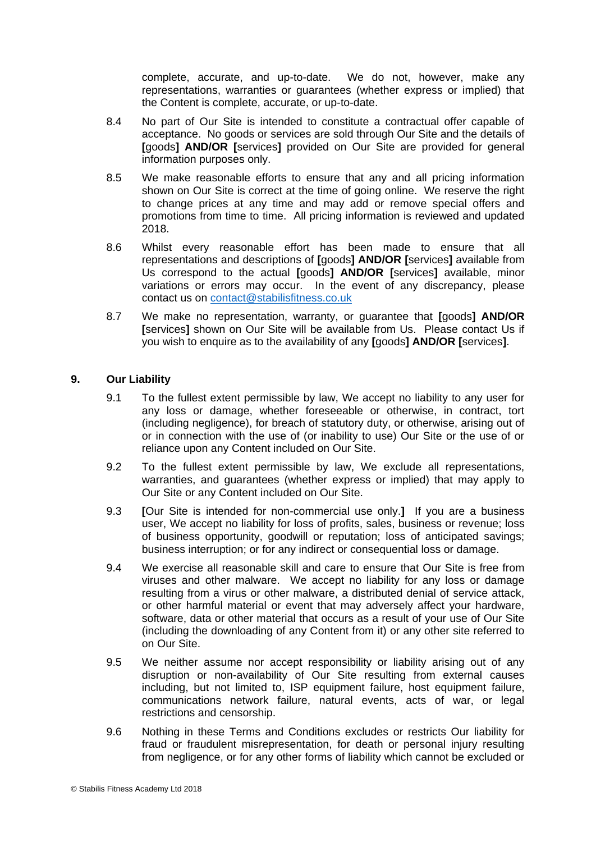complete, accurate, and up-to-date. We do not, however, make any representations, warranties or guarantees (whether express or implied) that the Content is complete, accurate, or up-to-date.

- 8.4 No part of Our Site is intended to constitute a contractual offer capable of acceptance. No goods or services are sold through Our Site and the details of **[**goods**] AND/OR [**services**]** provided on Our Site are provided for general information purposes only.
- 8.5 We make reasonable efforts to ensure that any and all pricing information shown on Our Site is correct at the time of going online. We reserve the right to change prices at any time and may add or remove special offers and promotions from time to time. All pricing information is reviewed and updated 2018.
- 8.6 Whilst every reasonable effort has been made to ensure that all representations and descriptions of **[**goods**] AND/OR [**services**]** available from Us correspond to the actual **[**goods**] AND/OR [**services**]** available, minor variations or errors may occur. In the event of any discrepancy, please contact us on [contact@stabilisfitness.co.uk](mailto:contact@stabilisfitness.co.uk)
- 8.7 We make no representation, warranty, or guarantee that **[**goods**] AND/OR [**services**]** shown on Our Site will be available from Us. Please contact Us if you wish to enquire as to the availability of any **[**goods**] AND/OR [**services**]**.

# **9. Our Liability**

- 9.1 To the fullest extent permissible by law, We accept no liability to any user for any loss or damage, whether foreseeable or otherwise, in contract, tort (including negligence), for breach of statutory duty, or otherwise, arising out of or in connection with the use of (or inability to use) Our Site or the use of or reliance upon any Content included on Our Site.
- 9.2 To the fullest extent permissible by law, We exclude all representations, warranties, and guarantees (whether express or implied) that may apply to Our Site or any Content included on Our Site.
- 9.3 **[**Our Site is intended for non-commercial use only.**]** If you are a business user, We accept no liability for loss of profits, sales, business or revenue; loss of business opportunity, goodwill or reputation; loss of anticipated savings; business interruption; or for any indirect or consequential loss or damage.
- 9.4 We exercise all reasonable skill and care to ensure that Our Site is free from viruses and other malware. We accept no liability for any loss or damage resulting from a virus or other malware, a distributed denial of service attack, or other harmful material or event that may adversely affect your hardware, software, data or other material that occurs as a result of your use of Our Site (including the downloading of any Content from it) or any other site referred to on Our Site.
- 9.5 We neither assume nor accept responsibility or liability arising out of any disruption or non-availability of Our Site resulting from external causes including, but not limited to, ISP equipment failure, host equipment failure, communications network failure, natural events, acts of war, or legal restrictions and censorship.
- 9.6 Nothing in these Terms and Conditions excludes or restricts Our liability for fraud or fraudulent misrepresentation, for death or personal injury resulting from negligence, or for any other forms of liability which cannot be excluded or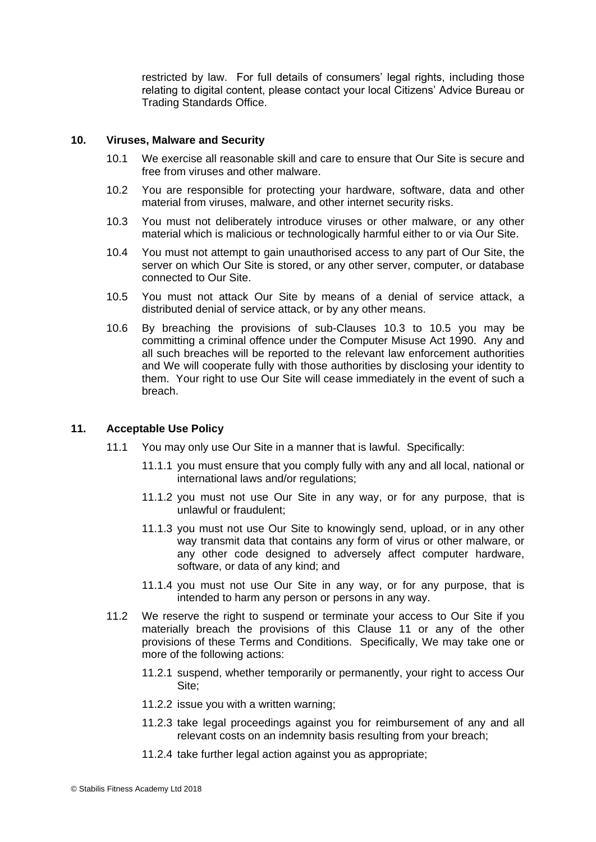restricted by law. For full details of consumers' legal rights, including those relating to digital content, please contact your local Citizens' Advice Bureau or Trading Standards Office.

#### **10. Viruses, Malware and Security**

- 10.1 We exercise all reasonable skill and care to ensure that Our Site is secure and free from viruses and other malware.
- 10.2 You are responsible for protecting your hardware, software, data and other material from viruses, malware, and other internet security risks.
- 10.3 You must not deliberately introduce viruses or other malware, or any other material which is malicious or technologically harmful either to or via Our Site.
- 10.4 You must not attempt to gain unauthorised access to any part of Our Site, the server on which Our Site is stored, or any other server, computer, or database connected to Our Site.
- 10.5 You must not attack Our Site by means of a denial of service attack, a distributed denial of service attack, or by any other means.
- 10.6 By breaching the provisions of sub-Clauses 10.3 to 10.5 you may be committing a criminal offence under the Computer Misuse Act 1990. Any and all such breaches will be reported to the relevant law enforcement authorities and We will cooperate fully with those authorities by disclosing your identity to them. Your right to use Our Site will cease immediately in the event of such a breach.

#### **11. Acceptable Use Policy**

- 11.1 You may only use Our Site in a manner that is lawful. Specifically:
	- 11.1.1 you must ensure that you comply fully with any and all local, national or international laws and/or regulations;
	- 11.1.2 you must not use Our Site in any way, or for any purpose, that is unlawful or fraudulent;
	- 11.1.3 you must not use Our Site to knowingly send, upload, or in any other way transmit data that contains any form of virus or other malware, or any other code designed to adversely affect computer hardware, software, or data of any kind; and
	- 11.1.4 you must not use Our Site in any way, or for any purpose, that is intended to harm any person or persons in any way.
- 11.2 We reserve the right to suspend or terminate your access to Our Site if you materially breach the provisions of this Clause 11 or any of the other provisions of these Terms and Conditions. Specifically, We may take one or more of the following actions:
	- 11.2.1 suspend, whether temporarily or permanently, your right to access Our Site;
	- 11.2.2 issue you with a written warning;
	- 11.2.3 take legal proceedings against you for reimbursement of any and all relevant costs on an indemnity basis resulting from your breach;
	- 11.2.4 take further legal action against you as appropriate;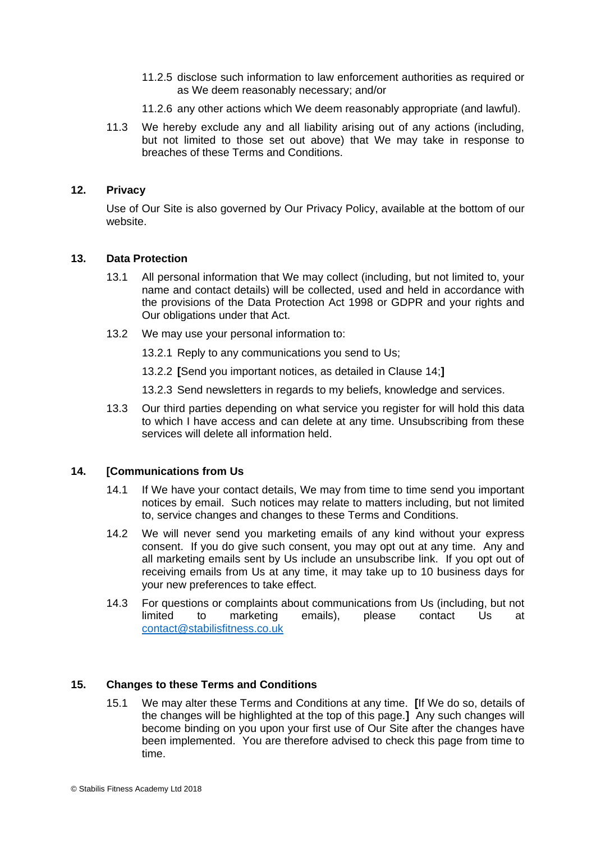- 11.2.5 disclose such information to law enforcement authorities as required or as We deem reasonably necessary; and/or
- 11.2.6 any other actions which We deem reasonably appropriate (and lawful).
- 11.3 We hereby exclude any and all liability arising out of any actions (including, but not limited to those set out above) that We may take in response to breaches of these Terms and Conditions.

# **12. Privacy**

Use of Our Site is also governed by Our Privacy Policy, available at the bottom of our website.

#### **13. Data Protection**

- 13.1 All personal information that We may collect (including, but not limited to, your name and contact details) will be collected, used and held in accordance with the provisions of the Data Protection Act 1998 or GDPR and your rights and Our obligations under that Act.
- 13.2 We may use your personal information to:

13.2.1 Reply to any communications you send to Us;

13.2.2 **[**Send you important notices, as detailed in Clause 14;**]**

13.2.3 Send newsletters in regards to my beliefs, knowledge and services.

13.3 Our third parties depending on what service you register for will hold this data to which I have access and can delete at any time. Unsubscribing from these services will delete all information held.

# **14. [Communications from Us**

- 14.1 If We have your contact details, We may from time to time send you important notices by email. Such notices may relate to matters including, but not limited to, service changes and changes to these Terms and Conditions.
- 14.2 We will never send you marketing emails of any kind without your express consent. If you do give such consent, you may opt out at any time. Any and all marketing emails sent by Us include an unsubscribe link. If you opt out of receiving emails from Us at any time, it may take up to 10 business days for your new preferences to take effect.
- 14.3 For questions or complaints about communications from Us (including, but not limited to marketing emails), please contact Us at [contact@stabilisfitness.co.uk](mailto:contact@stabilisfitness.co.uk)

# **15. Changes to these Terms and Conditions**

15.1 We may alter these Terms and Conditions at any time. **[**If We do so, details of the changes will be highlighted at the top of this page.**]** Any such changes will become binding on you upon your first use of Our Site after the changes have been implemented. You are therefore advised to check this page from time to time.